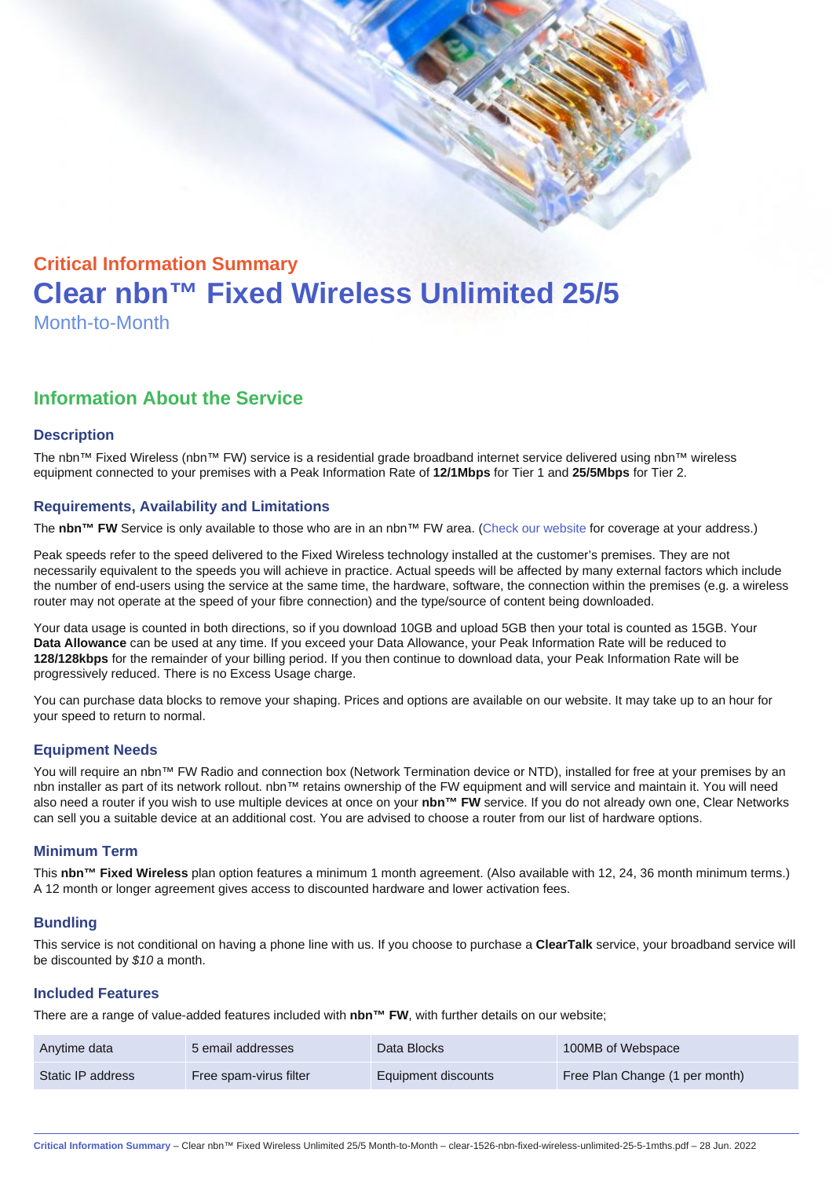# Critical Information Summary Clear nbn™ Fixed Wireless Unlimited 25/5 Month-to-Month

## Information About the Service

## **Description**

The nbn™ Fixed Wireless (nbn™ FW) service is a residential grade broadband internet service delivered using nbn™ wireless equipment connected to your premises with a Peak Information Rate of 12/1Mbps for Tier 1 and 25/5Mbps for Tier 2.

## Requirements, Availability and Limitations

The nbn™ FW Service is only available to those who are in an nbn™ FW area. [\(Check our website](https://www.clear.com.au/residential/nbn-fixed-wireless/) for coverage at your address.)

Peak speeds refer to the speed delivered to the Fixed Wireless technology installed at the customer's premises. They are not necessarily equivalent to the speeds you will achieve in practice. Actual speeds will be affected by many external factors which include the number of end-users using the service at the same time, the hardware, software, the connection within the premises (e.g. a wireless router may not operate at the speed of your fibre connection) and the type/source of content being downloaded.

Your data usage is counted in both directions, so if you download 10GB and upload 5GB then your total is counted as 15GB. Your Data Allowance can be used at any time. If you exceed your Data Allowance, your Peak Information Rate will be reduced to 128/128kbps for the remainder of your billing period. If you then continue to download data, your Peak Information Rate will be progressively reduced. There is no Excess Usage charge.

You can purchase data blocks to remove your shaping. Prices and options are available on our website. It may take up to an hour for your speed to return to normal.

## Equipment Needs

You will require an nbn™ FW Radio and connection box (Network Termination device or NTD), installed for free at your premises by an nbn installer as part of its network rollout. nbn™ retains ownership of the FW equipment and will service and maintain it. You will need also need a router if you wish to use multiple devices at once on your nbn™ FW service. If you do not already own one, Clear Networks can sell you a suitable device at an additional cost. You are advised to choose a router from our list of hardware options.

#### Minimum Term

This nbn™ Fixed Wireless plan option features a minimum 1 month agreement. (Also available with 12, 24, 36 month minimum terms.) A 12 month or longer agreement gives access to discounted hardware and lower activation fees.

#### **Bundling**

This service is not conditional on having a phone line with us. If you choose to purchase a ClearTalk service, your broadband service will be discounted by \$10 a month.

#### Included Features

There are a range of value-added features included with nbn™ FW, with further details on our website;

| Anytime data      | 5 email addresses      | Data Blocks         | 100MB of Webspace              |
|-------------------|------------------------|---------------------|--------------------------------|
| Static IP address | Free spam-virus filter | Equipment discounts | Free Plan Change (1 per month) |